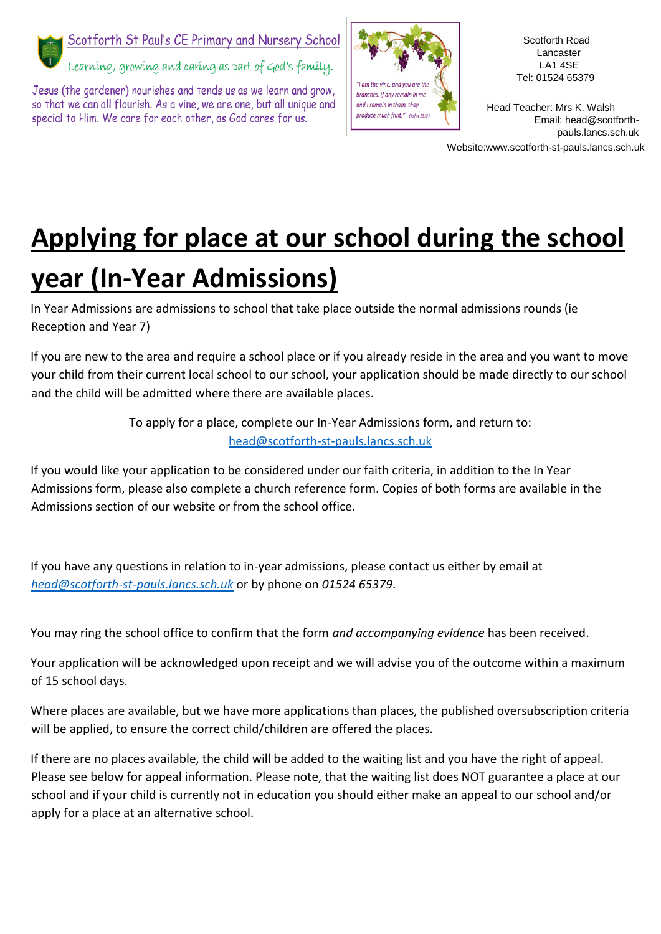

## Scotforth St Paul's CE Primary and Nursery School

Learning, growing and caring as part of God's family.

Jesus (the gardener) nourishes and tends us as we learn and grow, so that we can all flourish. As a vine, we are one, but all unique and special to Him. We care for each other, as God cares for us.



Scotforth Road Lancaster LA1 4SE Tel: 01524 65379

Head Teacher: Mrs K. Walsh Email: head@scotforthpauls.lancs.sch.uk

Website:www.scotforth-st-pauls.lancs.sch.uk

## **Applying for place at our school during the school year (In-Year Admissions)**

In Year Admissions are admissions to school that take place outside the normal admissions rounds (ie Reception and Year 7)

If you are new to the area and require a school place or if you already reside in the area and you want to move your child from their current local school to our school, your application should be made directly to our school and the child will be admitted where there are available places.

> To apply for a place, complete our In-Year Admissions form, and return to: head@scotforth-st-pauls.lancs.sch.uk

If you would like your application to be considered under our faith criteria, in addition to the In Year Admissions form, please also complete a church reference form. Copies of both forms are available in the Admissions section of our website or from the school office.

If you have any questions in relation to in-year admissions, please contact us either by email at *head@scotforth-st-pauls.lancs.sch.uk* or by phone on *01524 65379*.

You may ring the school office to confirm that the form *and accompanying evidence* has been received.

Your application will be acknowledged upon receipt and we will advise you of the outcome within a maximum of 15 school days.

Where places are available, but we have more applications than places, the published oversubscription criteria will be applied, to ensure the correct child/children are offered the places.

If there are no places available, the child will be added to the waiting list and you have the right of appeal. Please see below for appeal information. Please note, that the waiting list does NOT guarantee a place at our school and if your child is currently not in education you should either make an appeal to our school and/or apply for a place at an alternative school.